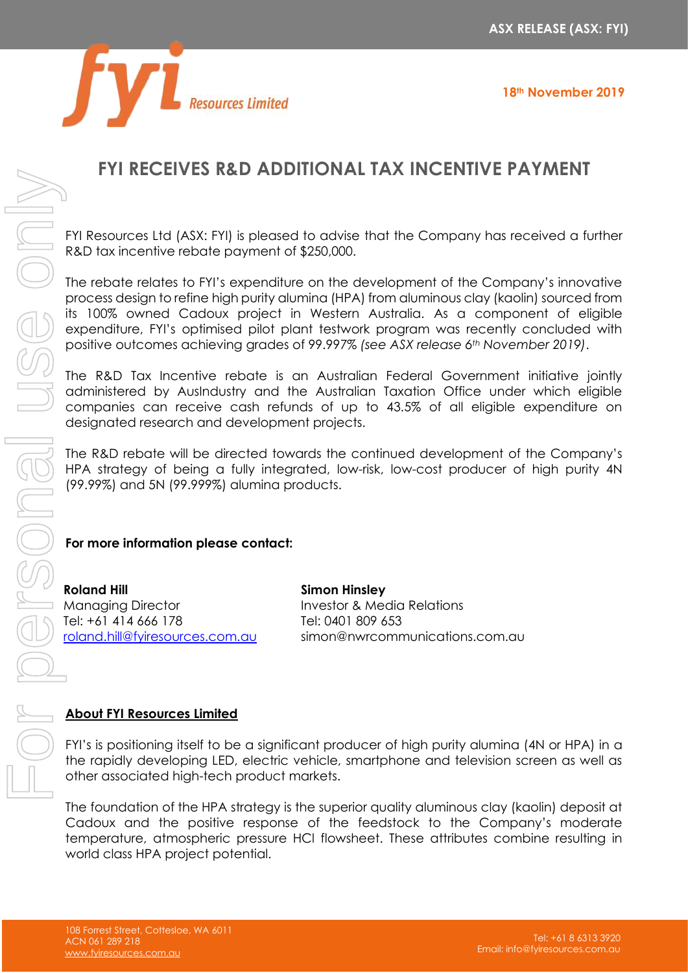

# **FYI RECEIVES R&D ADDITIONAL TAX INCENTIVE PAYMENT**

FYI Resources Ltd (ASX: FYI) is pleased to advise that the Company has received a further R&D tax incentive rebate payment of \$250,000.

The rebate relates to FYI's expenditure on the development of the Company's innovative process design to refine high purity alumina (HPA) from aluminous clay (kaolin) sourced from its 100% owned Cadoux project in Western Australia. As a component of eligible expenditure, FYI's optimised pilot plant testwork program was recently concluded with positive outcomes achieving grades of 99.997% *(see ASX release 6th November 2019)*.

The R&D Tax Incentive rebate is an Australian Federal Government initiative jointly administered by AusIndustry and the Australian Taxation Office under which eligible companies can receive cash refunds of up to 43.5% of all eligible expenditure on designated research and development projects.

The R&D rebate will be directed towards the continued development of the Company's HPA strategy of being a fully integrated, low-risk, low-cost producer of high purity 4N (99.99%) and 5N (99.999%) alumina products.

### **For more information please contact:**

**Roland Hill** Managing Director Tel: +61 414 666 178 [roland.hill@fyiresources.com.au](mailto:roland.hill@fyiresources.com.au) **Simon Hinsley** Investor & Media Relations Tel: 0401 809 653 simon@nwrcommunications.com.au

### **About FYI Resources Limited**

FYI's is positioning itself to be a significant producer of high purity alumina (4N or HPA) in a the rapidly developing LED, electric vehicle, smartphone and television screen as well as other associated high-tech product markets.

The foundation of the HPA strategy is the superior quality aluminous clay (kaolin) deposit at Cadoux and the positive response of the feedstock to the Company's moderate temperature, atmospheric pressure HCl flowsheet. These attributes combine resulting in